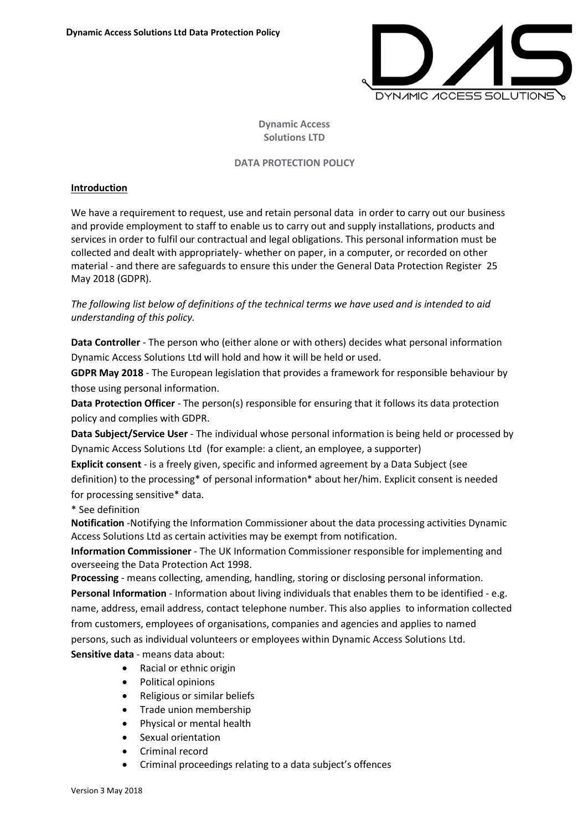

**Dynamic Access Solutions LTD**

## **DATA PROTECTION POLICY**

# **Introduction**

We have a requirement to request, use and retain personal data in order to carry out our business and provide employment to staff to enable us to carry out and supply installations, products and services in order to fulfil our contractual and legal obligations. This personal information must be collected and dealt with appropriately- whether on paper, in a computer, or recorded on other material - and there are safeguards to ensure this under the General Data Protection Register 25 May 2018 (GDPR).

*The following list below of definitions of the technical terms we have used and is intended to aid understanding of this policy.*

**Data Controller** - The person who (either alone or with others) decides what personal information Dynamic Access Solutions Ltd will hold and how it will be held or used.

**GDPR May 2018** - The European legislation that provides a framework for responsible behaviour by those using personal information.

**Data Protection Officer** - The person(s) responsible for ensuring that it follows its data protection policy and complies with GDPR.

**Data Subject/Service User** - The individual whose personal information is being held or processed by Dynamic Access Solutions Ltd (for example: a client, an employee, a supporter)

**Explicit consent** - is a freely given, specific and informed agreement by a Data Subject (see definition) to the processing\* of personal information\* about her/him. Explicit consent is needed for processing sensitive\* data.

\* See definition

**Notification** -Notifying the Information Commissioner about the data processing activities Dynamic Access Solutions Ltd as certain activities may be exempt from notification.

**Information Commissioner** - The UK Information Commissioner responsible for implementing and overseeing the Data Protection Act 1998.

**Processing** - means collecting, amending, handling, storing or disclosing personal information. **Personal Information** - Information about living individuals that enables them to be identified - e.g. name, address, email address, contact telephone number. This also applies to information collected from customers, employees of organisations, companies and agencies and applies to named persons, such as individual volunteers or employees within Dynamic Access Solutions Ltd.

**Sensitive data** - means data about:

- Racial or ethnic origin
- Political opinions
- Religious or similar beliefs
- Trade union membership
- Physical or mental health
- Sexual orientation
- Criminal record
- Criminal proceedings relating to a data subject's offences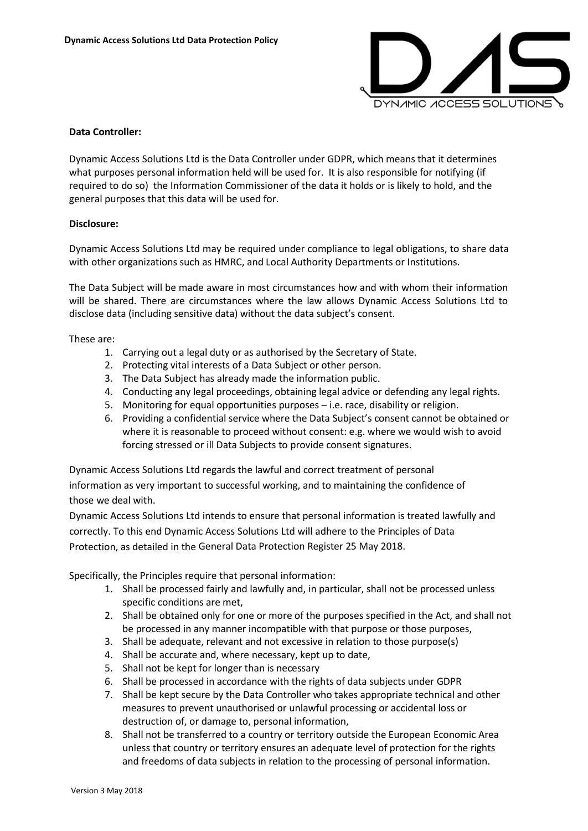

## **Data Controller:**

Dynamic Access Solutions Ltd is the Data Controller under GDPR, which means that it determines what purposes personal information held will be used for. It is also responsible for notifying (if required to do so) the Information Commissioner of the data it holds or is likely to hold, and the general purposes that this data will be used for.

## **Disclosure:**

Dynamic Access Solutions Ltd may be required under compliance to legal obligations, to share data with other organizations such as HMRC, and Local Authority Departments or Institutions.

The Data Subject will be made aware in most circumstances how and with whom their information will be shared. There are circumstances where the law allows Dynamic Access Solutions Ltd to disclose data (including sensitive data) without the data subject's consent.

These are:

- 1. Carrying out a legal duty or as authorised by the Secretary of State.
- 2. Protecting vital interests of a Data Subject or other person.
- 3. The Data Subject has already made the information public.
- 4. Conducting any legal proceedings, obtaining legal advice or defending any legal rights.
- 5. Monitoring for equal opportunities purposes i.e. race, disability or religion.
- 6. Providing a confidential service where the Data Subject's consent cannot be obtained or where it is reasonable to proceed without consent: e.g. where we would wish to avoid forcing stressed or ill Data Subjects to provide consent signatures.

Dynamic Access Solutions Ltd regards the lawful and correct treatment of personal information as very important to successful working, and to maintaining the confidence of those we deal with.

Dynamic Access Solutions Ltd intends to ensure that personal information is treated lawfully and correctly. To this end Dynamic Access Solutions Ltd will adhere to the Principles of Data Protection, as detailed in the General Data Protection Register 25 May 2018.

Specifically, the Principles require that personal information:

- 1. Shall be processed fairly and lawfully and, in particular, shall not be processed unless specific conditions are met,
- 2. Shall be obtained only for one or more of the purposes specified in the Act, and shall not be processed in any manner incompatible with that purpose or those purposes,
- 3. Shall be adequate, relevant and not excessive in relation to those purpose(s)
- 4. Shall be accurate and, where necessary, kept up to date,
- 5. Shall not be kept for longer than is necessary
- 6. Shall be processed in accordance with the rights of data subjects under GDPR
- 7. Shall be kept secure by the Data Controller who takes appropriate technical and other measures to prevent unauthorised or unlawful processing or accidental loss or destruction of, or damage to, personal information,
- 8. Shall not be transferred to a country or territory outside the European Economic Area unless that country or territory ensures an adequate level of protection for the rights and freedoms of data subjects in relation to the processing of personal information.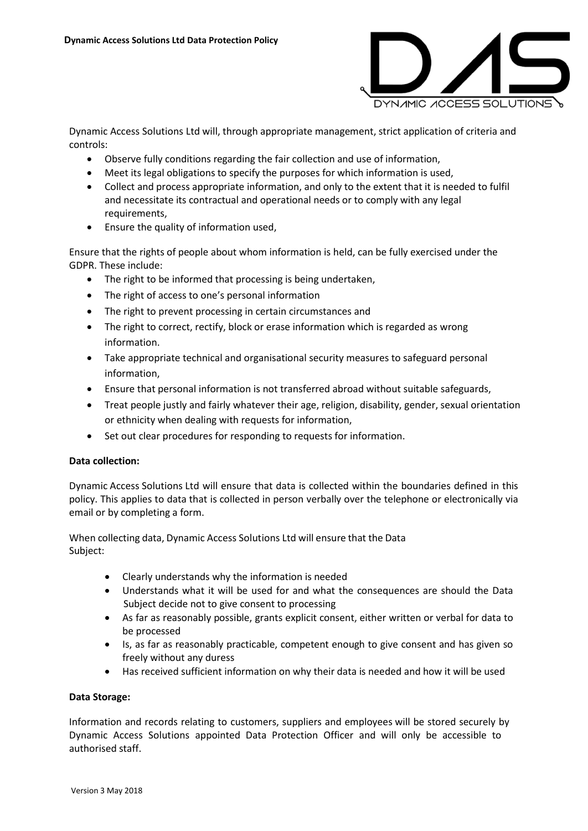

Dynamic Access Solutions Ltd will, through appropriate management, strict application of criteria and controls:

- Observe fully conditions regarding the fair collection and use of information,
- Meet its legal obligations to specify the purposes for which information is used,
- Collect and process appropriate information, and only to the extent that it is needed to fulfil and necessitate its contractual and operational needs or to comply with any legal requirements,
- Ensure the quality of information used,

Ensure that the rights of people about whom information is held, can be fully exercised under the GDPR. These include:

- The right to be informed that processing is being undertaken,
- The right of access to one's personal information
- The right to prevent processing in certain circumstances and
- The right to correct, rectify, block or erase information which is regarded as wrong information.
- Take appropriate technical and organisational security measures to safeguard personal information,
- Ensure that personal information is not transferred abroad without suitable safeguards,
- Treat people justly and fairly whatever their age, religion, disability, gender, sexual orientation or ethnicity when dealing with requests for information,
- Set out clear procedures for responding to requests for information.

## **Data collection:**

Dynamic Access Solutions Ltd will ensure that data is collected within the boundaries defined in this policy. This applies to data that is collected in person verbally over the telephone or electronically via email or by completing a form.

When collecting data, Dynamic Access Solutions Ltd will ensure that the Data Subject:

- Clearly understands why the information is needed
- Understands what it will be used for and what the consequences are should the Data Subject decide not to give consent to processing
- As far as reasonably possible, grants explicit consent, either written or verbal for data to be processed
- Is, as far as reasonably practicable, competent enough to give consent and has given so freely without any duress
- Has received sufficient information on why their data is needed and how it will be used

#### **Data Storage:**

Information and records relating to customers, suppliers and employees will be stored securely by Dynamic Access Solutions appointed Data Protection Officer and will only be accessible to authorised staff.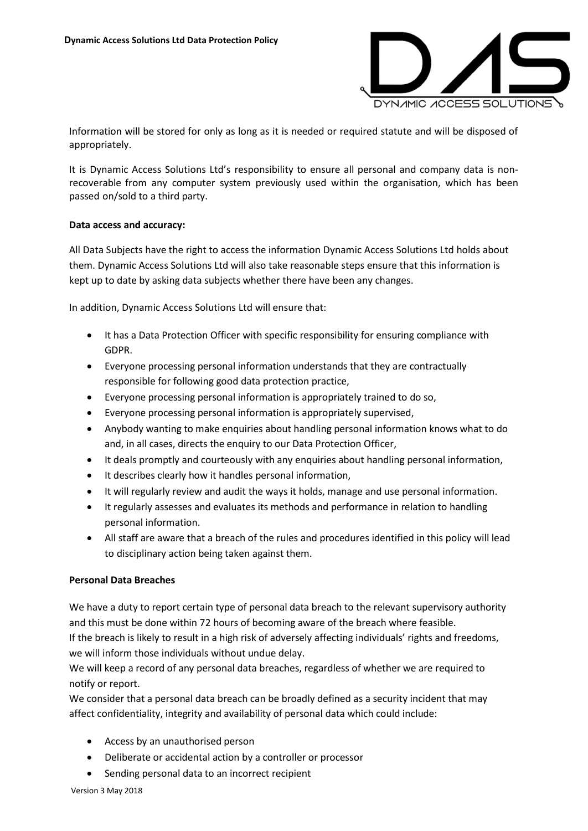

Information will be stored for only as long as it is needed or required statute and will be disposed of appropriately.

It is Dynamic Access Solutions Ltd's responsibility to ensure all personal and company data is nonrecoverable from any computer system previously used within the organisation, which has been passed on/sold to a third party.

## **Data access and accuracy:**

All Data Subjects have the right to access the information Dynamic Access Solutions Ltd holds about them. Dynamic Access Solutions Ltd will also take reasonable steps ensure that this information is kept up to date by asking data subjects whether there have been any changes.

In addition, Dynamic Access Solutions Ltd will ensure that:

- It has a Data Protection Officer with specific responsibility for ensuring compliance with GDPR.
- Everyone processing personal information understands that they are contractually responsible for following good data protection practice,
- Everyone processing personal information is appropriately trained to do so,
- Everyone processing personal information is appropriately supervised,
- Anybody wanting to make enquiries about handling personal information knows what to do and, in all cases, directs the enquiry to our Data Protection Officer,
- It deals promptly and courteously with any enquiries about handling personal information,
- It describes clearly how it handles personal information,
- It will regularly review and audit the ways it holds, manage and use personal information.
- It regularly assesses and evaluates its methods and performance in relation to handling personal information.
- All staff are aware that a breach of the rules and procedures identified in this policy will lead to disciplinary action being taken against them.

## **Personal Data Breaches**

We have a duty to report certain type of personal data breach to the relevant supervisory authority and this must be done within 72 hours of becoming aware of the breach where feasible.

If the breach is likely to result in a high risk of adversely affecting individuals' rights and freedoms, we will inform those individuals without undue delay.

We will keep a record of any personal data breaches, regardless of whether we are required to notify or report.

We consider that a personal data breach can be broadly defined as a security incident that may affect confidentiality, integrity and availability of personal data which could include:

- Access by an unauthorised person
- Deliberate or accidental action by a controller or processor
- Sending personal data to an incorrect recipient